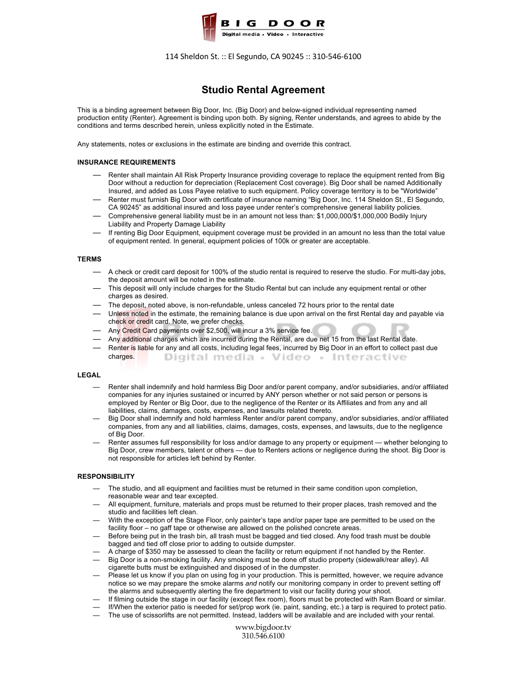

114 Sheldon St. :: El Segundo, CA 90245 :: 310-546-6100

# **Studio Rental Agreement**

This is a binding agreement between Big Door, Inc. (Big Door) and below-signed individual representing named production entity (Renter). Agreement is binding upon both. By signing, Renter understands, and agrees to abide by the conditions and terms described herein, unless explicitly noted in the Estimate.

Any statements, notes or exclusions in the estimate are binding and override this contract.

## **INSURANCE REQUIREMENTS**

- Renter shall maintain All Risk Property Insurance providing coverage to replace the equipment rented from Big Door without a reduction for depreciation (Replacement Cost coverage). Big Door shall be named Additionally Insured, and added as Loss Payee relative to such equipment. Policy coverage territory is to be "Worldwide"
- Renter must furnish Big Door with certificate of insurance naming "Big Door, Inc. 114 Sheldon St., El Segundo, CA 90245" as additional insured and loss payee under renter's comprehensive general liability policies.
- Comprehensive general liability must be in an amount not less than: \$1,000,000/\$1,000,000 Bodily Injury Liability and Property Damage Liability
- If renting Big Door Equipment, equipment coverage must be provided in an amount no less than the total value of equipment rented. In general, equipment policies of 100k or greater are acceptable.

#### **TERMS**

- A check or credit card deposit for 100% of the studio rental is required to reserve the studio. For multi-day jobs, the deposit amount will be noted in the estimate.
- This deposit will only include charges for the Studio Rental but can include any equipment rental or other charges as desired.
- The deposit, noted above, is non-refundable, unless canceled 72 hours prior to the rental date
- Unless noted in the estimate, the remaining balance is due upon arrival on the first Rental day and payable via check or credit card. Note, we prefer checks.
- Any Credit Card payments over \$2,500, will incur a 3% service fee.
- Any additional charges which are incurred during the Rental, are due net 15 from the last Rental date.
- Renter is liable for any and all costs, including legal fees, incurred by Big Door in an effort to collect past due charges. Digital media + Video + Interactive

### **LEGAL**

- Renter shall indemnify and hold harmless Big Door and/or parent company, and/or subsidiaries, and/or affiliated companies for any injuries sustained or incurred by ANY person whether or not said person or persons is employed by Renter or Big Door, due to the negligence of the Renter or its Affiliates and from any and all liabilities, claims, damages, costs, expenses, and lawsuits related thereto.
- Big Door shall indemnify and hold harmless Renter and/or parent company, and/or subsidiaries, and/or affiliated companies, from any and all liabilities, claims, damages, costs, expenses, and lawsuits, due to the negligence of Big Door.
- Renter assumes full responsibility for loss and/or damage to any property or equipment whether belonging to Big Door, crew members, talent or others — due to Renters actions or negligence during the shoot. Big Door is not responsible for articles left behind by Renter.

#### **RESPONSIBILITY**

- The studio, and all equipment and facilities must be returned in their same condition upon completion, reasonable wear and tear excepted.
- All equipment, furniture, materials and props must be returned to their proper places, trash removed and the studio and facilities left clean.
- With the exception of the Stage Floor, only painter's tape and/or paper tape are permitted to be used on the facility floor – no gaff tape or otherwise are allowed on the polished concrete areas.
- Before being put in the trash bin, all trash must be bagged and tied closed. Any food trash must be double bagged and tied off close prior to adding to outside dumpster.
- A charge of \$350 may be assessed to clean the facility or return equipment if not handled by the Renter.
- Big Door is a non-smoking facility. Any smoking must be done off studio property (sidewalk/rear alley). All cigarette butts must be extinguished and disposed of in the dumpster.
- Please let us know if you plan on using fog in your production. This is permitted, however, we require advance notice so we may prepare the smoke alarms *and* notify our monitoring company in order to prevent setting off the alarms and subsequently alerting the fire department to visit our facility during your shoot.
- If filming outside the stage in our facility (except flex room), floors must be protected with Ram Board or similar.
- If/When the exterior patio is needed for set/prop work (ie. paint, sanding, etc.) a tarp is required to protect patio.
- The use of scissorlifts are not permitted. Instead, ladders will be available and are included with your rental.